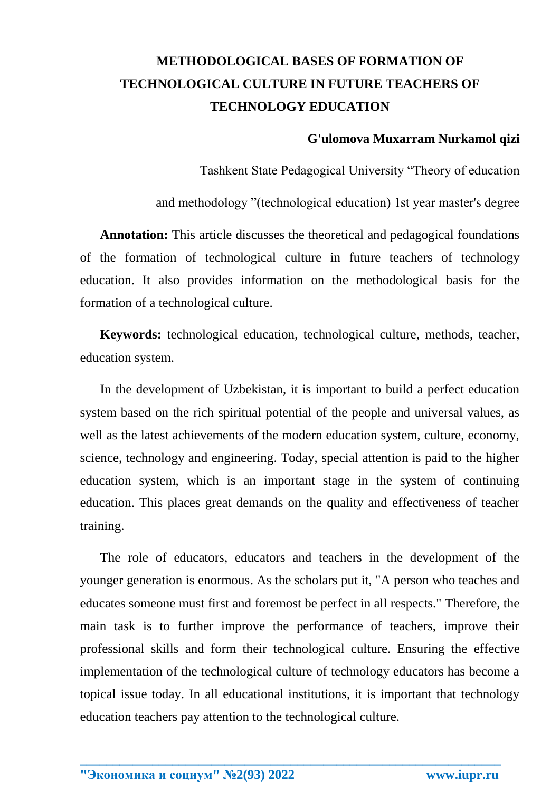## **METHODOLOGICAL BASES OF FORMATION OF TECHNOLOGICAL CULTURE IN FUTURE TEACHERS OF TECHNOLOGY EDUCATION**

## **G'ulomova Muxarram Nurkamol qizi**

Tashkent State Pedagogical University "Theory of education

and methodology "(technological education) 1st year master's degree

**Annotation:** This article discusses the theoretical and pedagogical foundations of the formation of technological culture in future teachers of technology education. It also provides information on the methodological basis for the formation of a technological culture.

**Keywords:** technological education, technological culture, methods, teacher, education system.

In the development of Uzbekistan, it is important to build a perfect education system based on the rich spiritual potential of the people and universal values, as well as the latest achievements of the modern education system, culture, economy, science, technology and engineering. Today, special attention is paid to the higher education system, which is an important stage in the system of continuing education. This places great demands on the quality and effectiveness of teacher training.

The role of educators, educators and teachers in the development of the younger generation is enormous. As the scholars put it, "A person who teaches and educates someone must first and foremost be perfect in all respects." Therefore, the main task is to further improve the performance of teachers, improve their professional skills and form their technological culture. Ensuring the effective implementation of the technological culture of technology educators has become a topical issue today. In all educational institutions, it is important that technology education teachers pay attention to the technological culture.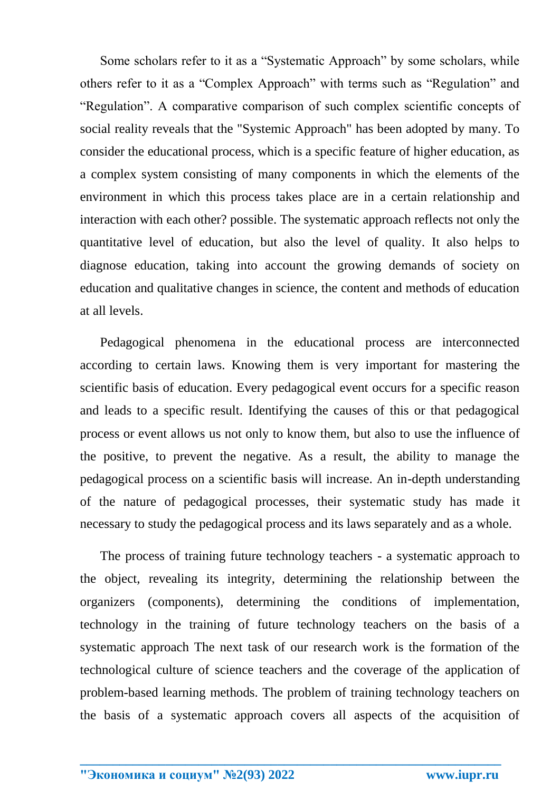Some scholars refer to it as a "Systematic Approach" by some scholars, while others refer to it as a "Complex Approach" with terms such as "Regulation" and "Regulation". A comparative comparison of such complex scientific concepts of social reality reveals that the "Systemic Approach" has been adopted by many. To consider the educational process, which is a specific feature of higher education, as a complex system consisting of many components in which the elements of the environment in which this process takes place are in a certain relationship and interaction with each other? possible. The systematic approach reflects not only the quantitative level of education, but also the level of quality. It also helps to diagnose education, taking into account the growing demands of society on education and qualitative changes in science, the content and methods of education at all levels.

Pedagogical phenomena in the educational process are interconnected according to certain laws. Knowing them is very important for mastering the scientific basis of education. Every pedagogical event occurs for a specific reason and leads to a specific result. Identifying the causes of this or that pedagogical process or event allows us not only to know them, but also to use the influence of the positive, to prevent the negative. As a result, the ability to manage the pedagogical process on a scientific basis will increase. An in-depth understanding of the nature of pedagogical processes, their systematic study has made it necessary to study the pedagogical process and its laws separately and as a whole.

The process of training future technology teachers - a systematic approach to the object, revealing its integrity, determining the relationship between the organizers (components), determining the conditions of implementation, technology in the training of future technology teachers on the basis of a systematic approach The next task of our research work is the formation of the technological culture of science teachers and the coverage of the application of problem-based learning methods. The problem of training technology teachers on the basis of a systematic approach covers all aspects of the acquisition of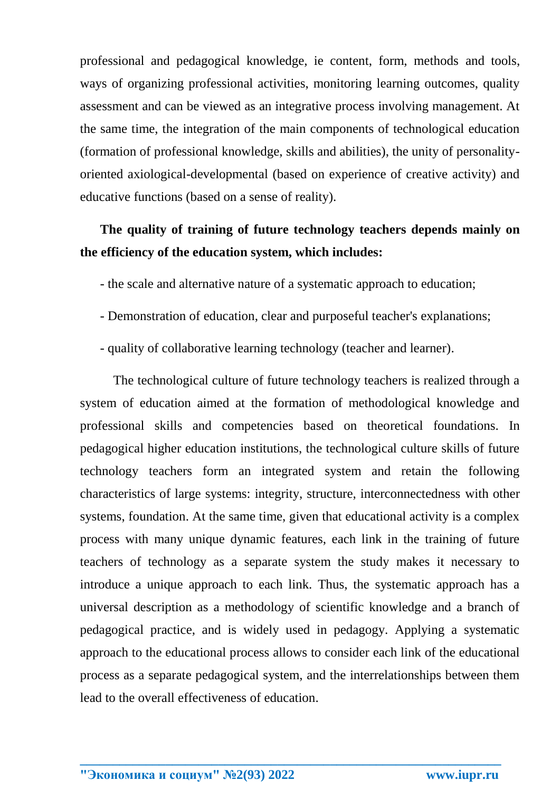professional and pedagogical knowledge, ie content, form, methods and tools, ways of organizing professional activities, monitoring learning outcomes, quality assessment and can be viewed as an integrative process involving management. At the same time, the integration of the main components of technological education (formation of professional knowledge, skills and abilities), the unity of personalityoriented axiological-developmental (based on experience of creative activity) and educative functions (based on a sense of reality).

## **The quality of training of future technology teachers depends mainly on the efficiency of the education system, which includes:**

- the scale and alternative nature of a systematic approach to education;
- Demonstration of education, clear and purposeful teacher's explanations;
- quality of collaborative learning technology (teacher and learner).

The technological culture of future technology teachers is realized through a system of education aimed at the formation of methodological knowledge and professional skills and competencies based on theoretical foundations. In pedagogical higher education institutions, the technological culture skills of future technology teachers form an integrated system and retain the following characteristics of large systems: integrity, structure, interconnectedness with other systems, foundation. At the same time, given that educational activity is a complex process with many unique dynamic features, each link in the training of future teachers of technology as a separate system the study makes it necessary to introduce a unique approach to each link. Thus, the systematic approach has a universal description as a methodology of scientific knowledge and a branch of pedagogical practice, and is widely used in pedagogy. Applying a systematic approach to the educational process allows to consider each link of the educational process as a separate pedagogical system, and the interrelationships between them lead to the overall effectiveness of education.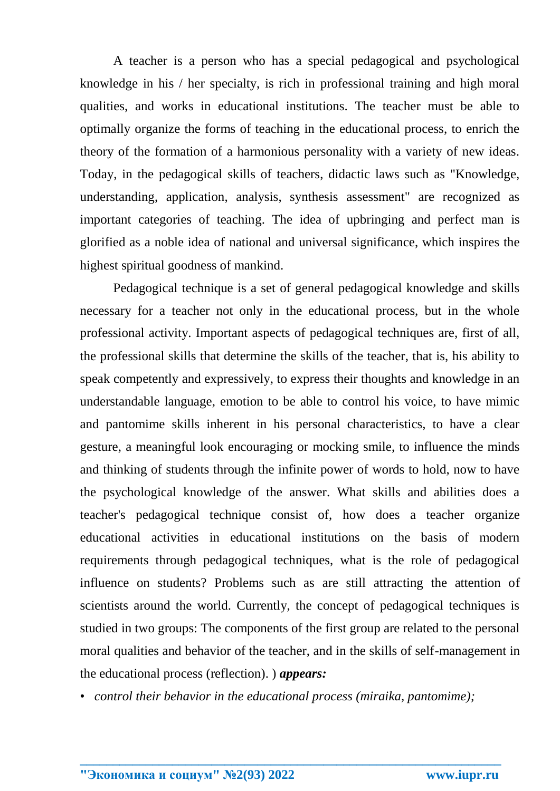A teacher is a person who has a special pedagogical and psychological knowledge in his / her specialty, is rich in professional training and high moral qualities, and works in educational institutions. The teacher must be able to optimally organize the forms of teaching in the educational process, to enrich the theory of the formation of a harmonious personality with a variety of new ideas. Today, in the pedagogical skills of teachers, didactic laws such as "Knowledge, understanding, application, analysis, synthesis assessment" are recognized as important categories of teaching. The idea of upbringing and perfect man is glorified as a noble idea of national and universal significance, which inspires the highest spiritual goodness of mankind.

Pedagogical technique is a set of general pedagogical knowledge and skills necessary for a teacher not only in the educational process, but in the whole professional activity. Important aspects of pedagogical techniques are, first of all, the professional skills that determine the skills of the teacher, that is, his ability to speak competently and expressively, to express their thoughts and knowledge in an understandable language, emotion to be able to control his voice, to have mimic and pantomime skills inherent in his personal characteristics, to have a clear gesture, a meaningful look encouraging or mocking smile, to influence the minds and thinking of students through the infinite power of words to hold, now to have the psychological knowledge of the answer. What skills and abilities does a teacher's pedagogical technique consist of, how does a teacher organize educational activities in educational institutions on the basis of modern requirements through pedagogical techniques, what is the role of pedagogical influence on students? Problems such as are still attracting the attention of scientists around the world. Currently, the concept of pedagogical techniques is studied in two groups: The components of the first group are related to the personal moral qualities and behavior of the teacher, and in the skills of self-management in the educational process (reflection). ) *appears:*

• *control their behavior in the educational process (miraika, pantomime);*